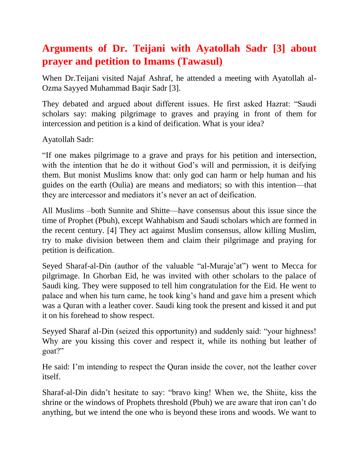## **Arguments of Dr. Teijani with Ayatollah Sadr [3] about prayer and petition to Imams (Tawasul)**

When Dr.Teijani visited Najaf Ashraf, he attended a meeting with Ayatollah al-Ozma Sayyed Muhammad Baqir Sadr [3].

They debated and argued about different issues. He first asked Hazrat: "Saudi scholars say: making pilgrimage to graves and praying in front of them for intercession and petition is a kind of deification. What is your idea?

Ayatollah Sadr:

―If one makes pilgrimage to a grave and prays for his petition and intersection, with the intention that he do it without God's will and permission, it is deifying them. But monist Muslims know that: only god can harm or help human and his guides on the earth (Oulia) are means and mediators; so with this intention—that they are intercessor and mediators it's never an act of deification.

All Muslims –both Sunnite and Shitte—have consensus about this issue since the time of Prophet (Pbuh), except Wahhabism and Saudi scholars which are formed in the recent century. [4] They act against Muslim consensus, allow killing Muslim, try to make division between them and claim their pilgrimage and praying for petition is deification.

Seyed Sharaf-al-Din (author of the valuable "al-Muraje'at") went to Mecca for pilgrimage. In Ghorban Eid, he was invited with other scholars to the palace of Saudi king. They were supposed to tell him congratulation for the Eid. He went to palace and when his turn came, he took king's hand and gave him a present which was a Quran with a leather cover. Saudi king took the present and kissed it and put it on his forehead to show respect.

Seyyed Sharaf al-Din (seized this opportunity) and suddenly said: "your highness! Why are you kissing this cover and respect it, while its nothing but leather of goat?"

He said: I'm intending to respect the Quran inside the cover, not the leather cover itself.

Sharaf-al-Din didn't hesitate to say: "bravo king! When we, the Shiite, kiss the shrine or the windows of Prophets threshold (Pbuh) we are aware that iron can't do anything, but we intend the one who is beyond these irons and woods. We want to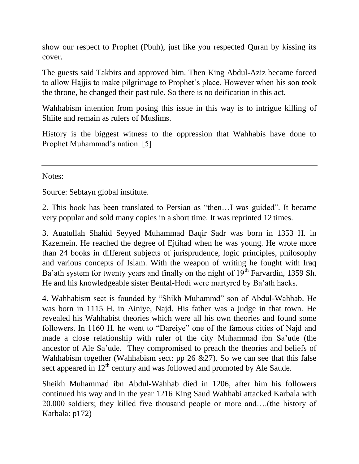show our respect to Prophet (Pbuh), just like you respected Quran by kissing its cover.

The guests said Takbirs and approved him. Then King Abdul-Aziz became forced to allow Hajjis to make pilgrimage to Prophet's place. However when his son took the throne, he changed their past rule. So there is no deification in this act.

Wahhabism intention from posing this issue in this way is to intrigue killing of Shiite and remain as rulers of Muslims.

History is the biggest witness to the oppression that Wahhabis have done to Prophet Muhammad's nation. [5]

Notes:

Source: Sebtayn global institute.

2. This book has been translated to Persian as "then...I was guided". It became very popular and sold many copies in a short time. It was reprinted 12 times.

3. Auatullah Shahid Seyyed Muhammad Baqir Sadr was born in 1353 H. in Kazemein. He reached the degree of Ejtihad when he was young. He wrote more than 24 books in different subjects of jurisprudence, logic principles, philosophy and various concepts of Islam. With the weapon of writing he fought with Iraq Ba'ath system for twenty years and finally on the night of  $19<sup>th</sup>$  Farvardin, 1359 Sh. He and his knowledgeable sister Bental-Hodi were martyred by Ba'ath hacks.

4. Wahhabism sect is founded by "Shikh Muhammd" son of Abdul-Wahhab. He was born in 1115 H. in Ainiye, Najd. His father was a judge in that town. He revealed his Wahhabist theories which were all his own theories and found some followers. In 1160 H. he went to "Dareiye" one of the famous cities of Najd and made a close relationship with ruler of the city Muhammad ibn Sa'ude (the ancestor of Ale Sa'ude. They compromised to preach the theories and beliefs of Wahhabism together (Wahhabism sect: pp 26 &27). So we can see that this false sect appeared in  $12<sup>th</sup>$  century and was followed and promoted by Ale Saude.

Sheikh Muhammad ibn Abdul-Wahhab died in 1206, after him his followers continued his way and in the year 1216 King Saud Wahhabi attacked Karbala with 20,000 soldiers; they killed five thousand people or more and….(the history of Karbala: p172)